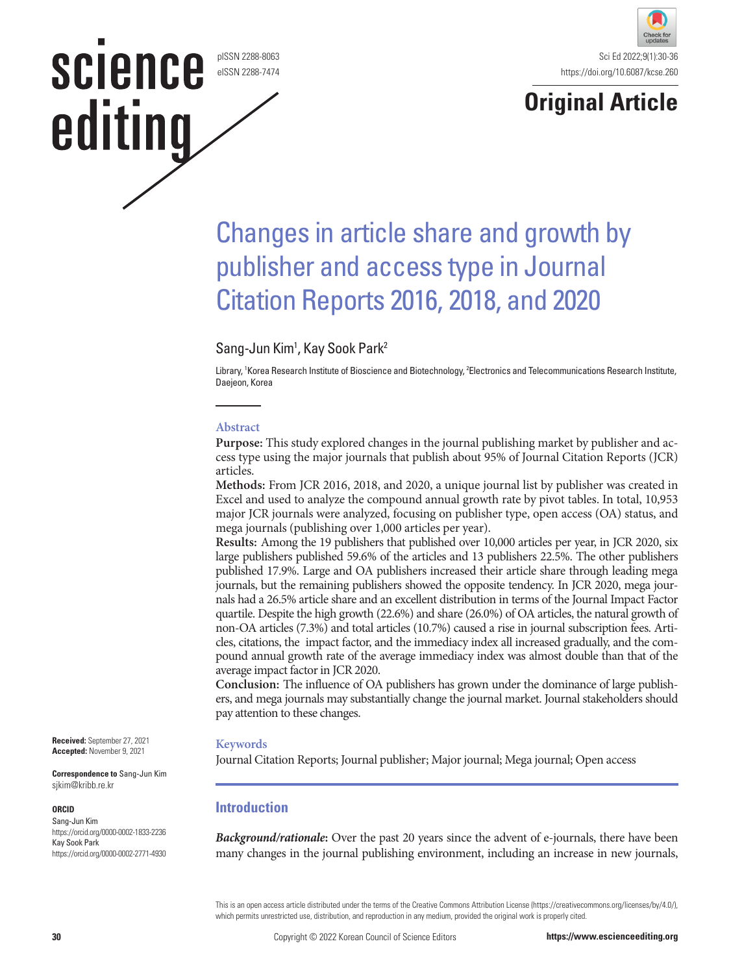pISSN 2288-8063 eISSN 2288-7474

**science** 

editing





# Changes in article share and growth by publisher and access type in Journal Citation Reports 2016, 2018, and 2020

# Sang-Jun Kim<sup>1</sup>, Kay Sook Park<sup>2</sup>

Library, 1 Korea Research Institute of Bioscience and Biotechnology, 2 Electronics and Telecommunications Research Institute, Daejeon, Korea

#### **Abstract**

**Purpose:** This study explored changes in the journal publishing market by publisher and access type using the major journals that publish about 95% of Journal Citation Reports (JCR) articles.

**Methods:** From JCR 2016, 2018, and 2020, a unique journal list by publisher was created in Excel and used to analyze the compound annual growth rate by pivot tables. In total, 10,953 major JCR journals were analyzed, focusing on publisher type, open access (OA) status, and mega journals (publishing over 1,000 articles per year).

**Results:** Among the 19 publishers that published over 10,000 articles per year, in JCR 2020, six large publishers published 59.6% of the articles and 13 publishers 22.5%. The other publishers published 17.9%. Large and OA publishers increased their article share through leading mega journals, but the remaining publishers showed the opposite tendency. In JCR 2020, mega journals had a 26.5% article share and an excellent distribution in terms of the Journal Impact Factor quartile. Despite the high growth (22.6%) and share (26.0%) of OA articles, the natural growth of non-OA articles (7.3%) and total articles (10.7%) caused a rise in journal subscription fees. Articles, citations, the impact factor, and the immediacy index all increased gradually, and the compound annual growth rate of the average immediacy index was almost double than that of the average impact factor in JCR 2020.

**Conclusion:** The influence of OA publishers has grown under the dominance of large publishers, and mega journals may substantially change the journal market. Journal stakeholders should pay attention to these changes.

#### **Keywords**

Journal Citation Reports; Journal publisher; Major journal; Mega journal; Open access

# **Introduction**

*Background/rationale***:** Over the past 20 years since the advent of e-journals, there have been many changes in the journal publishing environment, including an increase in new journals,

This is an open access article distributed under the terms of the Creative Commons Attribution License (https://creativecommons.org/licenses/by/4.0/), which permits unrestricted use, distribution, and reproduction in any medium, provided the original work is properly cited.

**Received:** September 27, 2021 **Accepted:** November 9, 2021

**Correspondence to** Sang-Jun Kim sjkim@kribb.re.kr

#### **ORCID**

Sang-Jun Kim https://orcid.org/0000-0002-1833-2236 Kay Sook Park https://orcid.org/0000-0002-2771-4930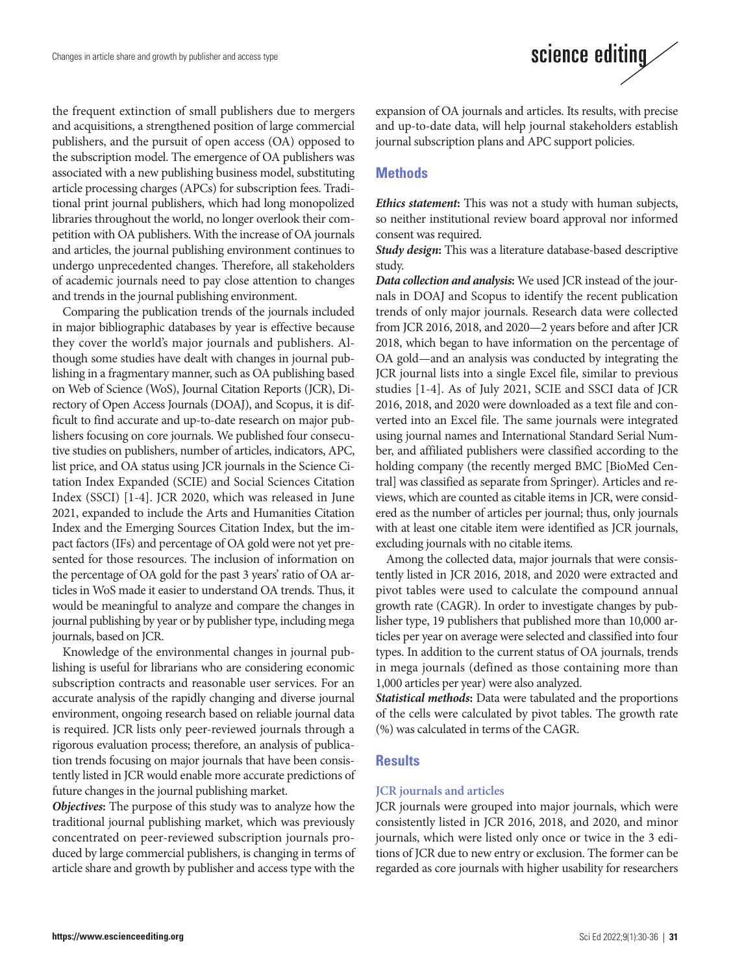the frequent extinction of small publishers due to mergers and acquisitions, a strengthened position of large commercial publishers, and the pursuit of open access (OA) opposed to the subscription model. The emergence of OA publishers was associated with a new publishing business model, substituting article processing charges (APCs) for subscription fees. Traditional print journal publishers, which had long monopolized libraries throughout the world, no longer overlook their competition with OA publishers. With the increase of OA journals and articles, the journal publishing environment continues to undergo unprecedented changes. Therefore, all stakeholders of academic journals need to pay close attention to changes and trends in the journal publishing environment.

Comparing the publication trends of the journals included in major bibliographic databases by year is effective because they cover the world's major journals and publishers. Although some studies have dealt with changes in journal publishing in a fragmentary manner, such as OA publishing based on Web of Science (WoS), Journal Citation Reports (JCR), Directory of Open Access Journals (DOAJ), and Scopus, it is difficult to find accurate and up-to-date research on major publishers focusing on core journals. We published four consecutive studies on publishers, number of articles, indicators, APC, list price, and OA status using JCR journals in the Science Citation Index Expanded (SCIE) and Social Sciences Citation Index (SSCI) [1-4]. JCR 2020, which was released in June 2021, expanded to include the Arts and Humanities Citation Index and the Emerging Sources Citation Index, but the impact factors (IFs) and percentage of OA gold were not yet presented for those resources. The inclusion of information on the percentage of OA gold for the past 3 years' ratio of OA articles in WoS made it easier to understand OA trends. Thus, it would be meaningful to analyze and compare the changes in journal publishing by year or by publisher type, including mega journals, based on JCR.

Knowledge of the environmental changes in journal publishing is useful for librarians who are considering economic subscription contracts and reasonable user services. For an accurate analysis of the rapidly changing and diverse journal environment, ongoing research based on reliable journal data is required. JCR lists only peer-reviewed journals through a rigorous evaluation process; therefore, an analysis of publication trends focusing on major journals that have been consistently listed in JCR would enable more accurate predictions of future changes in the journal publishing market.

*Objectives***:** The purpose of this study was to analyze how the traditional journal publishing market, which was previously concentrated on peer-reviewed subscription journals produced by large commercial publishers, is changing in terms of article share and growth by publisher and access type with the

science editing

expansion of OA journals and articles. Its results, with precise and up-to-date data, will help journal stakeholders establish journal subscription plans and APC support policies.

# **Methods**

*Ethics statement***:** This was not a study with human subjects, so neither institutional review board approval nor informed consent was required.

*Study design***:** This was a literature database-based descriptive study.

*Data collection and analysis***:** We used JCR instead of the journals in DOAJ and Scopus to identify the recent publication trends of only major journals. Research data were collected from JCR 2016, 2018, and 2020—2 years before and after JCR 2018, which began to have information on the percentage of OA gold—and an analysis was conducted by integrating the JCR journal lists into a single Excel file, similar to previous studies [1-4]. As of July 2021, SCIE and SSCI data of JCR 2016, 2018, and 2020 were downloaded as a text file and converted into an Excel file. The same journals were integrated using journal names and International Standard Serial Number, and affiliated publishers were classified according to the holding company (the recently merged BMC [BioMed Central] was classified as separate from Springer). Articles and reviews, which are counted as citable items in JCR, were considered as the number of articles per journal; thus, only journals with at least one citable item were identified as JCR journals, excluding journals with no citable items.

Among the collected data, major journals that were consistently listed in JCR 2016, 2018, and 2020 were extracted and pivot tables were used to calculate the compound annual growth rate (CAGR). In order to investigate changes by publisher type, 19 publishers that published more than 10,000 articles per year on average were selected and classified into four types. In addition to the current status of OA journals, trends in mega journals (defined as those containing more than 1,000 articles per year) were also analyzed.

*Statistical methods***:** Data were tabulated and the proportions of the cells were calculated by pivot tables. The growth rate (%) was calculated in terms of the CAGR.

# **Results**

# **JCR journals and articles**

JCR journals were grouped into major journals, which were consistently listed in JCR 2016, 2018, and 2020, and minor journals, which were listed only once or twice in the 3 editions of JCR due to new entry or exclusion. The former can be regarded as core journals with higher usability for researchers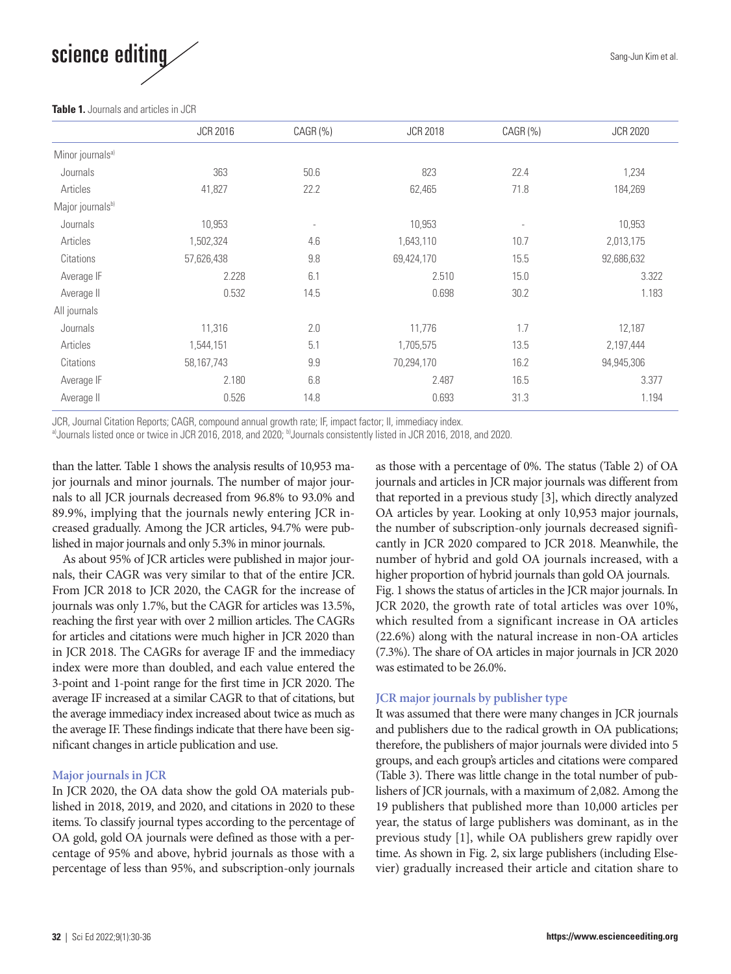

#### **Table 1.** Journals and articles in JCR

|                              | <b>JCR 2016</b> | CAGR (%)                 | <b>JCR 2018</b> | CAGR (%)                 | <b>JCR 2020</b> |
|------------------------------|-----------------|--------------------------|-----------------|--------------------------|-----------------|
| Minor journals <sup>a)</sup> |                 |                          |                 |                          |                 |
| Journals                     | 363             | 50.6                     | 823             | 22.4                     | 1,234           |
| Articles                     | 41,827          | 22.2                     | 62,465          | 71.8                     | 184,269         |
| Major journalsb)             |                 |                          |                 |                          |                 |
| Journals                     | 10,953          | $\overline{\phantom{a}}$ | 10,953          | $\overline{\phantom{a}}$ | 10,953          |
| Articles                     | 1,502,324       | 4.6                      | 1,643,110       | 10.7                     | 2,013,175       |
| Citations                    | 57,626,438      | 9.8                      | 69,424,170      | 15.5                     | 92,686,632      |
| Average IF                   | 2.228           | 6.1                      | 2.510           | 15.0                     | 3.322           |
| Average II                   | 0.532           | 14.5                     | 0.698           | 30.2                     | 1.183           |
| All journals                 |                 |                          |                 |                          |                 |
| Journals                     | 11,316          | 2.0                      | 11,776          | 1.7                      | 12,187          |
| Articles                     | 1,544,151       | 5.1                      | 1,705,575       | 13.5                     | 2,197,444       |
| Citations                    | 58,167,743      | 9.9                      | 70.294.170      | 16.2                     | 94,945,306      |
| Average IF                   | 2.180           | 6.8                      | 2.487           | 16.5                     | 3.377           |
| Average II                   | 0.526           | 14.8                     | 0.693           | 31.3                     | 1.194           |

JCR, Journal Citation Reports; CAGR, compound annual growth rate; IF, impact factor; II, immediacy index.

a)Journals listed once or twice in JCR 2016, 2018, and 2020; b)Journals consistently listed in JCR 2016, 2018, and 2020.

than the latter. Table 1 shows the analysis results of 10,953 major journals and minor journals. The number of major journals to all JCR journals decreased from 96.8% to 93.0% and 89.9%, implying that the journals newly entering JCR increased gradually. Among the JCR articles, 94.7% were published in major journals and only 5.3% in minor journals.

As about 95% of JCR articles were published in major journals, their CAGR was very similar to that of the entire JCR. From JCR 2018 to JCR 2020, the CAGR for the increase of journals was only 1.7%, but the CAGR for articles was 13.5%, reaching the first year with over 2 million articles. The CAGRs for articles and citations were much higher in JCR 2020 than in JCR 2018. The CAGRs for average IF and the immediacy index were more than doubled, and each value entered the 3-point and 1-point range for the first time in JCR 2020. The average IF increased at a similar CAGR to that of citations, but the average immediacy index increased about twice as much as the average IF. These findings indicate that there have been significant changes in article publication and use.

# **Major journals in JCR**

In JCR 2020, the OA data show the gold OA materials published in 2018, 2019, and 2020, and citations in 2020 to these items. To classify journal types according to the percentage of OA gold, gold OA journals were defined as those with a percentage of 95% and above, hybrid journals as those with a percentage of less than 95%, and subscription-only journals

as those with a percentage of 0%. The status (Table 2) of OA journals and articles in JCR major journals was different from that reported in a previous study [3], which directly analyzed OA articles by year. Looking at only 10,953 major journals, the number of subscription-only journals decreased significantly in JCR 2020 compared to JCR 2018. Meanwhile, the number of hybrid and gold OA journals increased, with a higher proportion of hybrid journals than gold OA journals. Fig. 1 shows the status of articles in the JCR major journals. In JCR 2020, the growth rate of total articles was over 10%, which resulted from a significant increase in OA articles (22.6%) along with the natural increase in non-OA articles (7.3%). The share of OA articles in major journals in JCR 2020 was estimated to be 26.0%.

# **JCR major journals by publisher type**

It was assumed that there were many changes in JCR journals and publishers due to the radical growth in OA publications; therefore, the publishers of major journals were divided into 5 groups, and each group's articles and citations were compared (Table 3). There was little change in the total number of publishers of JCR journals, with a maximum of 2,082. Among the 19 publishers that published more than 10,000 articles per year, the status of large publishers was dominant, as in the previous study [1], while OA publishers grew rapidly over time. As shown in Fig. 2, six large publishers (including Elsevier) gradually increased their article and citation share to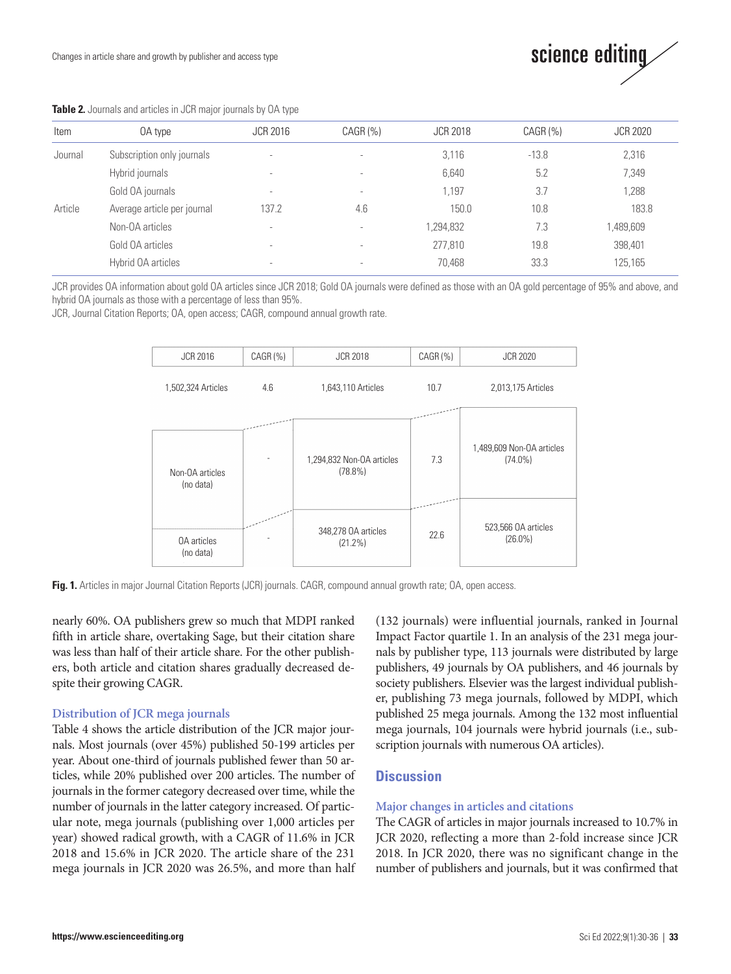

| Item    | OA type                     | <b>JCR 2016</b>          | $CAGR$ $(\%)$            | <b>JCR 2018</b> | $CAGR$ (%) | <b>JCR 2020</b> |
|---------|-----------------------------|--------------------------|--------------------------|-----------------|------------|-----------------|
| Journal | Subscription only journals  | $\overline{\phantom{a}}$ | $\overline{\phantom{a}}$ | 3.116           | $-13.8$    | 2,316           |
|         | Hybrid journals             | $\overline{\phantom{a}}$ | $\overline{\phantom{a}}$ | 6,640           | 5.2        | 7,349           |
|         | Gold OA journals            | ۰                        | $\overline{\phantom{a}}$ | 1.197           | 3.7        | 1.288           |
| Article | Average article per journal | 137.2                    | 4.6                      | 150.0           | 10.8       | 183.8           |
|         | Non-OA articles             | $\overline{\phantom{a}}$ |                          | 1,294,832       | 7.3        | ,489,609        |
|         | Gold OA articles            | $\overline{\phantom{a}}$ | $\overline{\phantom{a}}$ | 277,810         | 19.8       | 398,401         |
|         | Hybrid OA articles          | ۰                        |                          | 70,468          | 33.3       | 125,165         |

#### **Table 2.** Journals and articles in JCR major journals by OA type

JCR provides OA information about gold OA articles since JCR 2018; Gold OA journals were defined as those with an OA gold percentage of 95% and above, and hybrid OA journals as those with a percentage of less than 95%.

JCR, Journal Citation Reports; OA, open access; CAGR, compound annual growth rate.



**Fig. 1.** Articles in major Journal Citation Reports (JCR) journals. CAGR, compound annual growth rate; OA, open access.

nearly 60%. OA publishers grew so much that MDPI ranked fifth in article share, overtaking Sage, but their citation share was less than half of their article share. For the other publishers, both article and citation shares gradually decreased despite their growing CAGR.

#### **Distribution of JCR mega journals**

Table 4 shows the article distribution of the JCR major journals. Most journals (over 45%) published 50-199 articles per year. About one-third of journals published fewer than 50 articles, while 20% published over 200 articles. The number of journals in the former category decreased over time, while the number of journals in the latter category increased. Of particular note, mega journals (publishing over 1,000 articles per year) showed radical growth, with a CAGR of 11.6% in JCR 2018 and 15.6% in JCR 2020. The article share of the 231 mega journals in JCR 2020 was 26.5%, and more than half (132 journals) were influential journals, ranked in Journal Impact Factor quartile 1. In an analysis of the 231 mega journals by publisher type, 113 journals were distributed by large publishers, 49 journals by OA publishers, and 46 journals by society publishers. Elsevier was the largest individual publisher, publishing 73 mega journals, followed by MDPI, which published 25 mega journals. Among the 132 most influential mega journals, 104 journals were hybrid journals (i.e., subscription journals with numerous OA articles).

# **Discussion**

#### **Major changes in articles and citations**

The CAGR of articles in major journals increased to 10.7% in JCR 2020, reflecting a more than 2-fold increase since JCR 2018. In JCR 2020, there was no significant change in the number of publishers and journals, but it was confirmed that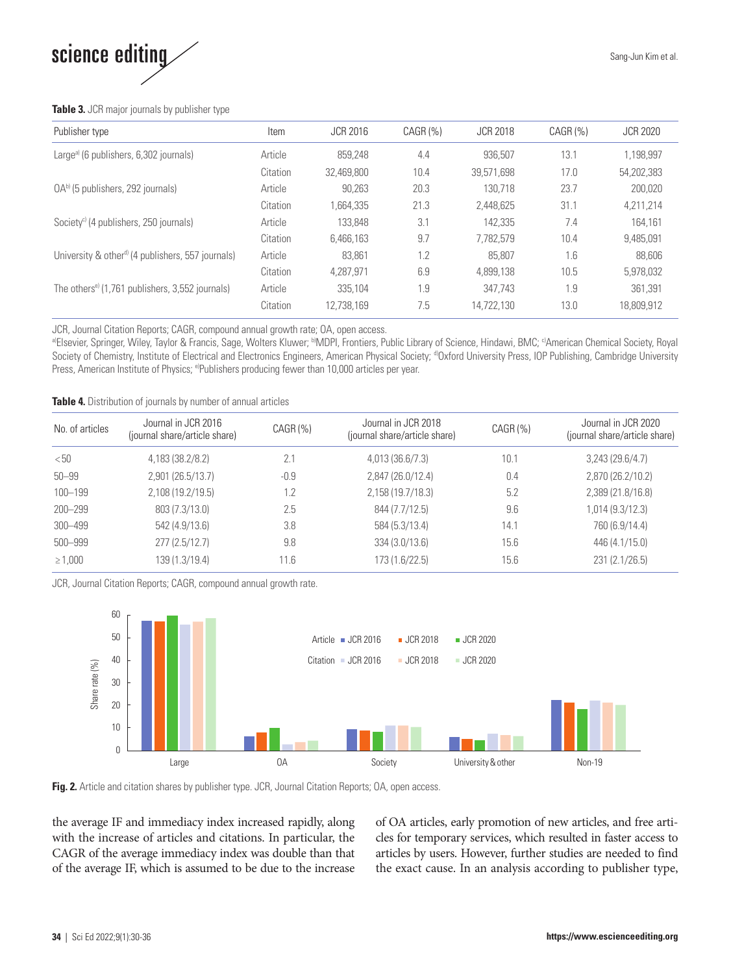

#### **Table 3.** JCR major journals by publisher type

| Publisher type                                                | Item     | <b>JCR 2016</b> | CAGR(%) | <b>JCR 2018</b> | CAGR (%) | <b>JCR 2020</b> |
|---------------------------------------------------------------|----------|-----------------|---------|-----------------|----------|-----------------|
| Large <sup>a)</sup> (6 publishers, 6,302 journals)            | Article  | 859.248         | 4.4     | 936.507         | 13.1     | 1,198,997       |
|                                                               | Citation | 32.469.800      | 10.4    | 39.571.698      | 17.0     | 54.202.383      |
| $OAb$ (5 publishers, 292 journals)                            | Article  | 90.263          | 20.3    | 130.718         | 23.7     | 200,020         |
|                                                               | Citation | 1.664.335       | 21.3    | 2.448.625       | 31.1     | 4,211,214       |
| Society <sup>c)</sup> (4 publishers, 250 journals)            | Article  | 133,848         | 3.1     | 142.335         | 7.4      | 164.161         |
|                                                               | Citation | 6.466.163       | 9.7     | 7.782.579       | 10.4     | 9,485,091       |
| University & other <sup>d)</sup> (4 publishers, 557 journals) | Article  | 83.861          | 1.2     | 85.807          | 1.6      | 88,606          |
|                                                               | Citation | 4.287.971       | 6.9     | 4.899.138       | 10.5     | 5.978.032       |
| The others <sup>e)</sup> (1,761 publishers, 3,552 journals)   | Article  | 335.104         | 1.9     | 347.743         | 1.9      | 361.391         |
|                                                               | Citation | 12.738.169      | 7.5     | 14.722.130      | 13.0     | 18.809.912      |

JCR, Journal Citation Reports; CAGR, compound annual growth rate; OA, open access.

a)Elsevier, Springer, Wiley, Taylor & Francis, Sage, Wolters Kluwer; <sup>b)</sup>MDPI, Frontiers, Public Library of Science, Hindawi, BMC; <sup>c)</sup>American Chemical Society, Royal Society of Chemistry, Institute of Electrical and Electronics Engineers, American Physical Society; <sup>d</sup>Oxford University Press, IOP Publishing, Cambridge University Press, American Institute of Physics; <sup>e)</sup>Publishers producing fewer than 10,000 articles per year.

**Table 4.** Distribution of journals by number of annual articles

| No. of articles | Journal in JCR 2016<br>(journal share/article share) | $CAGR$ $(\%)$ | Journal in JCR 2018<br>(journal share/article share) | $CAGR$ (%) | Journal in JCR 2020<br>(journal share/article share) |
|-----------------|------------------------------------------------------|---------------|------------------------------------------------------|------------|------------------------------------------------------|
| < 50            | 4,183 (38.2/8.2)                                     | 2.1           | 4,013 (36.6/7.3)                                     | 10.1       | 3,243(29.6/4.7)                                      |
| $50 - 99$       | 2,901 (26.5/13.7)                                    | $-0.9$        | 2,847 (26.0/12.4)                                    | 0.4        | 2,870 (26.2/10.2)                                    |
| $100 - 199$     | 2,108 (19.2/19.5)                                    | 1.2           | 2,158 (19.7/18.3)                                    | 5.2        | 2,389 (21.8/16.8)                                    |
| 200-299         | 803 (7.3/13.0)                                       | 2.5           | 844 (7.7/12.5)                                       | 9.6        | 1,014 (9.3/12.3)                                     |
| 300-499         | 542 (4.9/13.6)                                       | 3.8           | 584 (5.3/13.4)                                       | 14.1       | 760 (6.9/14.4)                                       |
| 500 - 999       | 277(2.5/12.7)                                        | 9.8           | 334 (3.0/13.6)                                       | 15.6       | 446 (4.1/15.0)                                       |
| $\geq 1,000$    | 139 (1.3/19.4)                                       | 11.6          | 173 (1.6/22.5)                                       | 15.6       | 231 (2.1/26.5)                                       |

JCR, Journal Citation Reports; CAGR, compound annual growth rate.



Fig. 2. Article and citation shares by publisher type. JCR, Journal Citation Reports; OA, open access.

the average IF and immediacy index increased rapidly, along with the increase of articles and citations. In particular, the CAGR of the average immediacy index was double than that of the average IF, which is assumed to be due to the increase of OA articles, early promotion of new articles, and free articles for temporary services, which resulted in faster access to articles by users. However, further studies are needed to find the exact cause. In an analysis according to publisher type,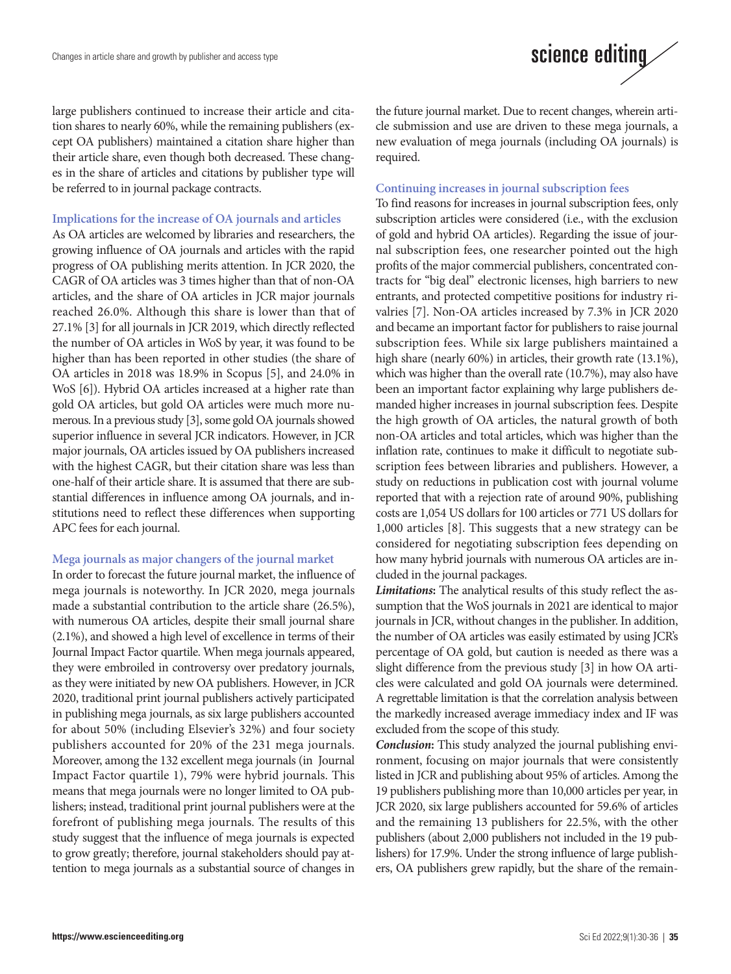

large publishers continued to increase their article and citation shares to nearly 60%, while the remaining publishers (except OA publishers) maintained a citation share higher than their article share, even though both decreased. These changes in the share of articles and citations by publisher type will be referred to in journal package contracts.

#### **Implications for the increase of OA journals and articles**

As OA articles are welcomed by libraries and researchers, the growing influence of OA journals and articles with the rapid progress of OA publishing merits attention. In JCR 2020, the CAGR of OA articles was 3 times higher than that of non-OA articles, and the share of OA articles in JCR major journals reached 26.0%. Although this share is lower than that of 27.1% [3] for all journals in JCR 2019, which directly reflected the number of OA articles in WoS by year, it was found to be higher than has been reported in other studies (the share of OA articles in 2018 was 18.9% in Scopus [5], and 24.0% in WoS [6]). Hybrid OA articles increased at a higher rate than gold OA articles, but gold OA articles were much more numerous. In a previous study [3], some gold OA journals showed superior influence in several JCR indicators. However, in JCR major journals, OA articles issued by OA publishers increased with the highest CAGR, but their citation share was less than one-half of their article share. It is assumed that there are substantial differences in influence among OA journals, and institutions need to reflect these differences when supporting APC fees for each journal.

#### **Mega journals as major changers of the journal market**

In order to forecast the future journal market, the influence of mega journals is noteworthy. In JCR 2020, mega journals made a substantial contribution to the article share (26.5%), with numerous OA articles, despite their small journal share (2.1%), and showed a high level of excellence in terms of their Journal Impact Factor quartile. When mega journals appeared, they were embroiled in controversy over predatory journals, as they were initiated by new OA publishers. However, in JCR 2020, traditional print journal publishers actively participated in publishing mega journals, as six large publishers accounted for about 50% (including Elsevier's 32%) and four society publishers accounted for 20% of the 231 mega journals. Moreover, among the 132 excellent mega journals (in Journal Impact Factor quartile 1), 79% were hybrid journals. This means that mega journals were no longer limited to OA publishers; instead, traditional print journal publishers were at the forefront of publishing mega journals. The results of this study suggest that the influence of mega journals is expected to grow greatly; therefore, journal stakeholders should pay attention to mega journals as a substantial source of changes in

the future journal market. Due to recent changes, wherein article submission and use are driven to these mega journals, a new evaluation of mega journals (including OA journals) is required.

#### **Continuing increases in journal subscription fees**

To find reasons for increases in journal subscription fees, only subscription articles were considered (i.e., with the exclusion of gold and hybrid OA articles). Regarding the issue of journal subscription fees, one researcher pointed out the high profits of the major commercial publishers, concentrated contracts for "big deal" electronic licenses, high barriers to new entrants, and protected competitive positions for industry rivalries [7]. Non-OA articles increased by 7.3% in JCR 2020 and became an important factor for publishers to raise journal subscription fees. While six large publishers maintained a high share (nearly 60%) in articles, their growth rate (13.1%), which was higher than the overall rate (10.7%), may also have been an important factor explaining why large publishers demanded higher increases in journal subscription fees. Despite the high growth of OA articles, the natural growth of both non-OA articles and total articles, which was higher than the inflation rate, continues to make it difficult to negotiate subscription fees between libraries and publishers. However, a study on reductions in publication cost with journal volume reported that with a rejection rate of around 90%, publishing costs are 1,054 US dollars for 100 articles or 771 US dollars for 1,000 articles [8]. This suggests that a new strategy can be considered for negotiating subscription fees depending on how many hybrid journals with numerous OA articles are included in the journal packages.

*Limitations***:** The analytical results of this study reflect the assumption that the WoS journals in 2021 are identical to major journals in JCR, without changes in the publisher. In addition, the number of OA articles was easily estimated by using JCR's percentage of OA gold, but caution is needed as there was a slight difference from the previous study [3] in how OA articles were calculated and gold OA journals were determined. A regrettable limitation is that the correlation analysis between the markedly increased average immediacy index and IF was excluded from the scope of this study.

*Conclusion***:** This study analyzed the journal publishing environment, focusing on major journals that were consistently listed in JCR and publishing about 95% of articles. Among the 19 publishers publishing more than 10,000 articles per year, in JCR 2020, six large publishers accounted for 59.6% of articles and the remaining 13 publishers for 22.5%, with the other publishers (about 2,000 publishers not included in the 19 publishers) for 17.9%. Under the strong influence of large publishers, OA publishers grew rapidly, but the share of the remain-